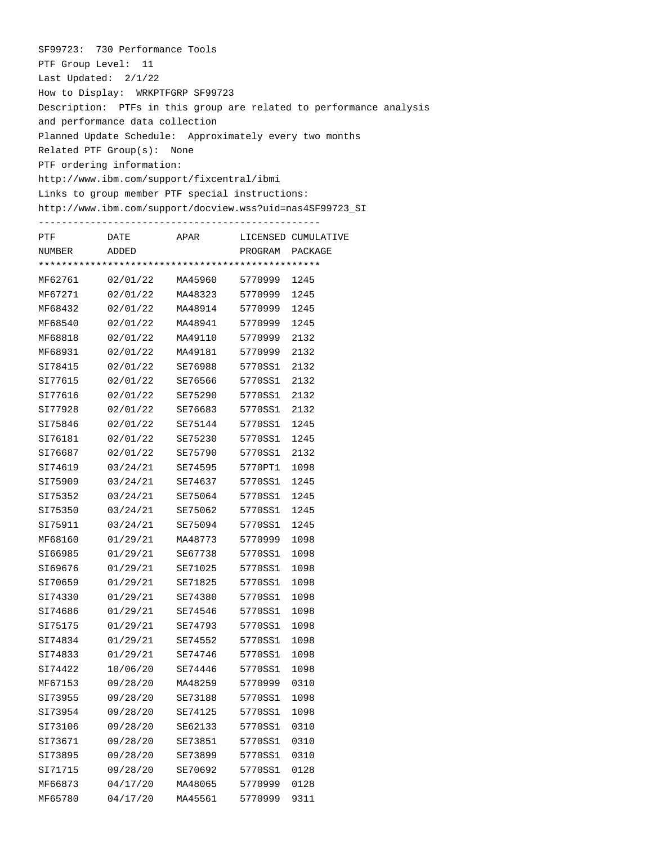SF99723: 730 Performance Tools PTF Group Level: 11 Last Updated: 2/1/22 How to Display: WRKPTFGRP SF99723 Description: PTFs in this group are related to performance analysis and performance data collection Planned Update Schedule: Approximately every two months Related PTF Group(s): None PTF ordering information: http://www.ibm.com/support/fixcentral/ibmi Links to group member PTF special instructions: http://www.ibm.com/support/docview.wss?uid=nas4SF99723\_SI

| PTF     | DATE     | APAR    |         | LICENSED CUMULATIVE |  |  |  |  |
|---------|----------|---------|---------|---------------------|--|--|--|--|
| NUMBER  | ADDED    |         | PROGRAM | PACKAGE             |  |  |  |  |
|         |          |         |         |                     |  |  |  |  |
| MF62761 | 02/01/22 | MA45960 | 5770999 | 1245                |  |  |  |  |
| MF67271 | 02/01/22 | MA48323 | 5770999 | 1245                |  |  |  |  |
| MF68432 | 02/01/22 | MA48914 | 5770999 | 1245                |  |  |  |  |
| MF68540 | 02/01/22 | MA48941 | 5770999 | 1245                |  |  |  |  |
| MF68818 | 02/01/22 | MA49110 | 5770999 | 2132                |  |  |  |  |
| MF68931 | 02/01/22 | MA49181 | 5770999 | 2132                |  |  |  |  |
| SI78415 | 02/01/22 | SE76988 | 5770SS1 | 2132                |  |  |  |  |
| SI77615 | 02/01/22 | SE76566 | 5770SS1 | 2132                |  |  |  |  |
| SI77616 | 02/01/22 | SE75290 | 5770SS1 | 2132                |  |  |  |  |
| SI77928 | 02/01/22 | SE76683 | 5770SS1 | 2132                |  |  |  |  |
| SI75846 | 02/01/22 | SE75144 | 5770SS1 | 1245                |  |  |  |  |
| SI76181 | 02/01/22 | SE75230 | 5770SS1 | 1245                |  |  |  |  |
| SI76687 | 02/01/22 | SE75790 | 5770SS1 | 2132                |  |  |  |  |
| SI74619 | 03/24/21 | SE74595 | 5770PT1 | 1098                |  |  |  |  |
| SI75909 | 03/24/21 | SE74637 | 5770SS1 | 1245                |  |  |  |  |
| SI75352 | 03/24/21 | SE75064 | 5770SS1 | 1245                |  |  |  |  |
| SI75350 | 03/24/21 | SE75062 | 5770SS1 | 1245                |  |  |  |  |
| SI75911 | 03/24/21 | SE75094 | 5770SS1 | 1245                |  |  |  |  |
| MF68160 | 01/29/21 | MA48773 | 5770999 | 1098                |  |  |  |  |
| SI66985 | 01/29/21 | SE67738 | 5770SS1 | 1098                |  |  |  |  |
| SI69676 | 01/29/21 | SE71025 | 5770SS1 | 1098                |  |  |  |  |
| SI70659 | 01/29/21 | SE71825 | 5770SS1 | 1098                |  |  |  |  |
| SI74330 | 01/29/21 | SE74380 | 5770SS1 | 1098                |  |  |  |  |
| SI74686 | 01/29/21 | SE74546 | 5770SS1 | 1098                |  |  |  |  |
| SI75175 | 01/29/21 | SE74793 | 5770SS1 | 1098                |  |  |  |  |
| SI74834 | 01/29/21 | SE74552 | 5770SS1 | 1098                |  |  |  |  |
| SI74833 | 01/29/21 | SE74746 | 5770SS1 | 1098                |  |  |  |  |
| SI74422 | 10/06/20 | SE74446 | 5770SS1 | 1098                |  |  |  |  |
| MF67153 | 09/28/20 | MA48259 | 5770999 | 0310                |  |  |  |  |
| SI73955 | 09/28/20 | SE73188 | 5770SS1 | 1098                |  |  |  |  |
| SI73954 | 09/28/20 | SE74125 | 5770SS1 | 1098                |  |  |  |  |
| SI73106 | 09/28/20 | SE62133 | 5770SS1 | 0310                |  |  |  |  |
| SI73671 | 09/28/20 | SE73851 | 5770SS1 | 0310                |  |  |  |  |
| SI73895 | 09/28/20 | SE73899 | 5770SS1 | 0310                |  |  |  |  |
| SI71715 | 09/28/20 | SE70692 | 5770SS1 | 0128                |  |  |  |  |
| MF66873 | 04/17/20 | MA48065 | 5770999 | 0128                |  |  |  |  |
| MF65780 | 04/17/20 | MA45561 | 5770999 | 9311                |  |  |  |  |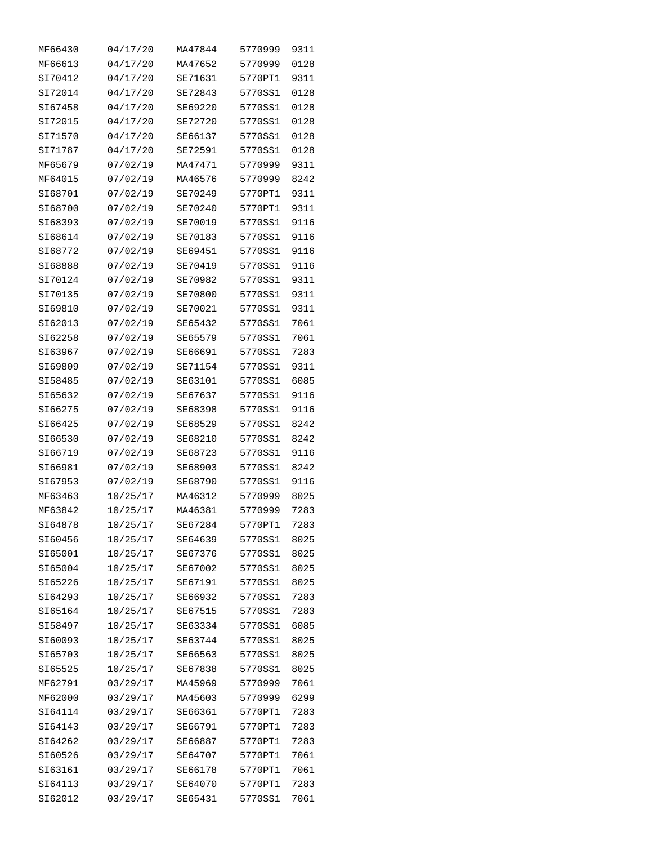| MF66430 | 04/17/20 | MA47844 | 5770999 | 9311 |
|---------|----------|---------|---------|------|
| MF66613 | 04/17/20 | MA47652 | 5770999 | 0128 |
| SI70412 | 04/17/20 | SE71631 | 5770PT1 | 9311 |
| SI72014 | 04/17/20 | SE72843 | 5770SS1 | 0128 |
| SI67458 | 04/17/20 | SE69220 | 5770SS1 | 0128 |
| SI72015 | 04/17/20 | SE72720 | 5770SS1 | 0128 |
| SI71570 | 04/17/20 | SE66137 | 5770SS1 | 0128 |
| SI71787 | 04/17/20 | SE72591 | 5770SS1 | 0128 |
| MF65679 | 07/02/19 | MA47471 | 5770999 | 9311 |
| MF64015 | 07/02/19 | MA46576 | 5770999 | 8242 |
| SI68701 | 07/02/19 | SE70249 | 5770PT1 | 9311 |
| SI68700 | 07/02/19 | SE70240 | 5770PT1 | 9311 |
| SI68393 | 07/02/19 | SE70019 | 5770SS1 | 9116 |
| SI68614 | 07/02/19 | SE70183 | 5770SS1 | 9116 |
| SI68772 | 07/02/19 | SE69451 | 5770SS1 | 9116 |
| SI68888 | 07/02/19 | SE70419 | 5770SS1 | 9116 |
| SI70124 | 07/02/19 | SE70982 | 5770SS1 | 9311 |
| SI70135 | 07/02/19 | SE70800 | 5770SS1 | 9311 |
| SI69810 | 07/02/19 | SE70021 | 5770SS1 | 9311 |
| SI62013 | 07/02/19 | SE65432 | 5770SS1 | 7061 |
| SI62258 | 07/02/19 | SE65579 | 5770SS1 | 7061 |
| SI63967 | 07/02/19 | SE66691 | 5770SS1 | 7283 |
| SI69809 | 07/02/19 | SE71154 | 5770SS1 | 9311 |
| SI58485 | 07/02/19 | SE63101 | 5770SS1 | 6085 |
| SI65632 | 07/02/19 | SE67637 | 5770SS1 | 9116 |
| SI66275 | 07/02/19 | SE68398 | 5770SS1 | 9116 |
| SI66425 | 07/02/19 | SE68529 | 5770SS1 | 8242 |
| SI66530 | 07/02/19 | SE68210 | 5770SS1 | 8242 |
| SI66719 | 07/02/19 | SE68723 | 5770SS1 | 9116 |
| SI66981 | 07/02/19 | SE68903 | 5770SS1 | 8242 |
| SI67953 | 07/02/19 | SE68790 | 5770SS1 | 9116 |
| MF63463 | 10/25/17 | MA46312 | 5770999 | 8025 |
| MF63842 | 10/25/17 | MA46381 | 5770999 | 7283 |
| SI64878 | 10/25/17 | SE67284 | 5770PT1 | 7283 |
| SI60456 | 10/25/17 | SE64639 | 5770SS1 | 8025 |
| SI65001 | 10/25/17 | SE67376 | 5770SS1 | 8025 |
| SI65004 | 10/25/17 | SE67002 | 5770SS1 | 8025 |
| SI65226 | 10/25/17 | SE67191 | 5770SS1 | 8025 |
| SI64293 | 10/25/17 | SE66932 | 5770SS1 | 7283 |
| SI65164 | 10/25/17 | SE67515 | 5770SS1 | 7283 |
| SI58497 | 10/25/17 | SE63334 | 5770SS1 | 6085 |
| SI60093 | 10/25/17 | SE63744 | 5770SS1 | 8025 |
| SI65703 | 10/25/17 | SE66563 | 5770SS1 | 8025 |
| SI65525 | 10/25/17 | SE67838 | 5770SS1 | 8025 |
| MF62791 | 03/29/17 | MA45969 | 5770999 | 7061 |
| MF62000 | 03/29/17 | MA45603 | 5770999 | 6299 |
| SI64114 | 03/29/17 | SE66361 | 5770PT1 | 7283 |
| SI64143 | 03/29/17 | SE66791 | 5770PT1 | 7283 |
| SI64262 | 03/29/17 | SE66887 | 5770PT1 | 7283 |
| SI60526 | 03/29/17 | SE64707 | 5770PT1 | 7061 |
| SI63161 | 03/29/17 | SE66178 | 5770PT1 | 7061 |
| SI64113 | 03/29/17 | SE64070 | 5770PT1 | 7283 |
| SI62012 | 03/29/17 | SE65431 | 5770SS1 | 7061 |